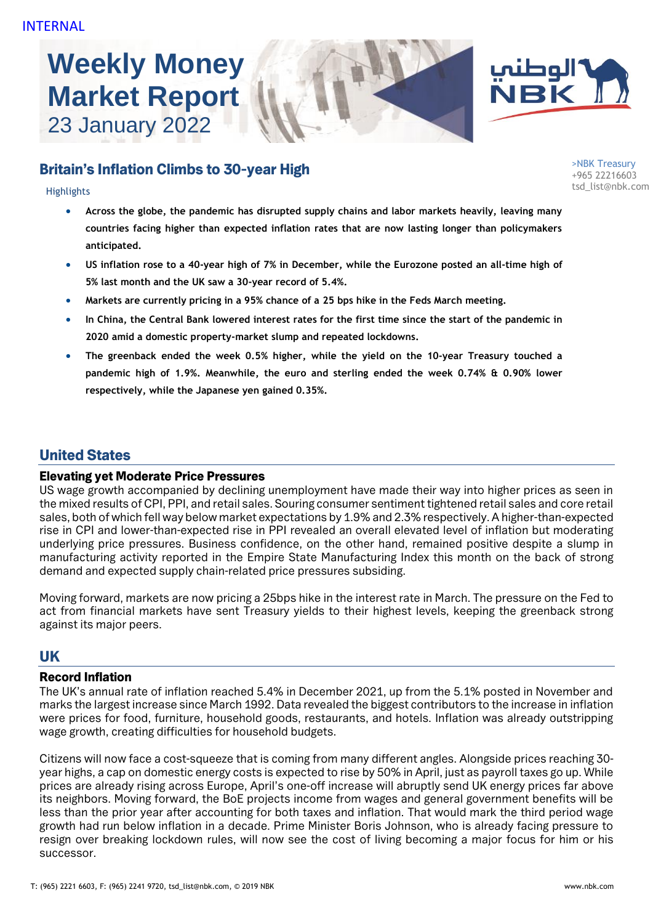# **Weekly Money Market Report** 23 January 2022



## tsd\_list@nbk.com Highlights

- **Across the globe, the pandemic has disrupted supply chains and labor markets heavily, leaving many countries facing higher than expected inflation rates that are now lasting longer than policymakers anticipated.**
- **US inflation rose to a 40-year high of 7% in December, while the Eurozone posted an all-time high of 5% last month and the UK saw a 30-year record of 5.4%.**
- **Markets are currently pricing in a 95% chance of a 25 bps hike in the Feds March meeting.**
- **In China, the Central Bank lowered interest rates for the first time since the start of the pandemic in 2020 amid a domestic property-market slump and repeated lockdowns.**
- **The greenback ended the week 0.5% higher, while the yield on the 10-year Treasury touched a pandemic high of 1.9%. Meanwhile, the euro and sterling ended the week 0.74% & 0.90% lower respectively, while the Japanese yen gained 0.35%.**

## United States

#### Elevating yet Moderate Price Pressures

US wage growth accompanied by declining unemployment have made their way into higher prices as seen in the mixed results of CPI, PPI, and retail sales. Souring consumer sentiment tightened retail sales and core retail sales, both of which fell way below market expectations by 1.9% and 2.3% respectively. A higher-than-expected rise in CPI and lower-than-expected rise in PPI revealed an overall elevated level of inflation but moderating underlying price pressures. Business confidence, on the other hand, remained positive despite a slump in manufacturing activity reported in the Empire State Manufacturing Index this month on the back of strong demand and expected supply chain-related price pressures subsiding.

Moving forward, markets are now pricing a 25bps hike in the interest rate in March. The pressure on the Fed to act from financial markets have sent Treasury yields to their highest levels, keeping the greenback strong against its major peers.

## **IIK**

## Record Inflation

The UK's annual rate of inflation reached 5.4% in December 2021, up from the 5.1% posted in November and marks the largest increase since March 1992. Data revealed the biggest contributors to the increase in inflation were prices for food, furniture, household goods, restaurants, and hotels. Inflation was already outstripping wage growth, creating difficulties for household budgets.

Citizens will now face a cost-squeeze that is coming from many different angles. Alongside prices reaching 30 year highs, a cap on domestic energy costs is expected to rise by 50% in April, just as payroll taxes go up. While prices are already rising across Europe, April's one-off increase will abruptly send UK energy prices far above its neighbors. Moving forward, the BoE projects income from wages and general government benefits will be less than the prior year after accounting for both taxes and inflation. That would mark the third period wage growth had run below inflation in a decade. Prime Minister Boris Johnson, who is already facing pressure to resign over breaking lockdown rules, will now see the cost of living becoming a major focus for him or his successor.



ÑВĶ